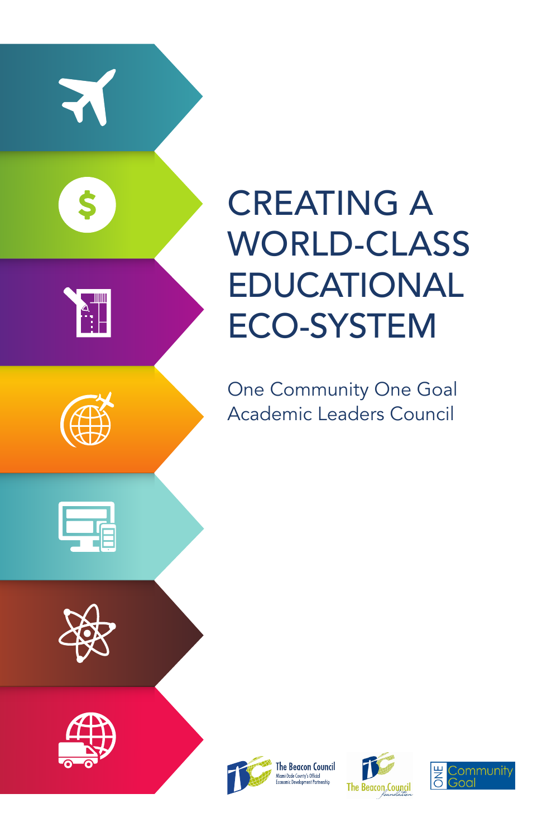

# CREATING A WORLD-CLASS EDUCATIONAL ECO-SYSTEM

One Community One Goal Academic Leaders Council



The Beacon Council<br>Miami-Dade County's Official



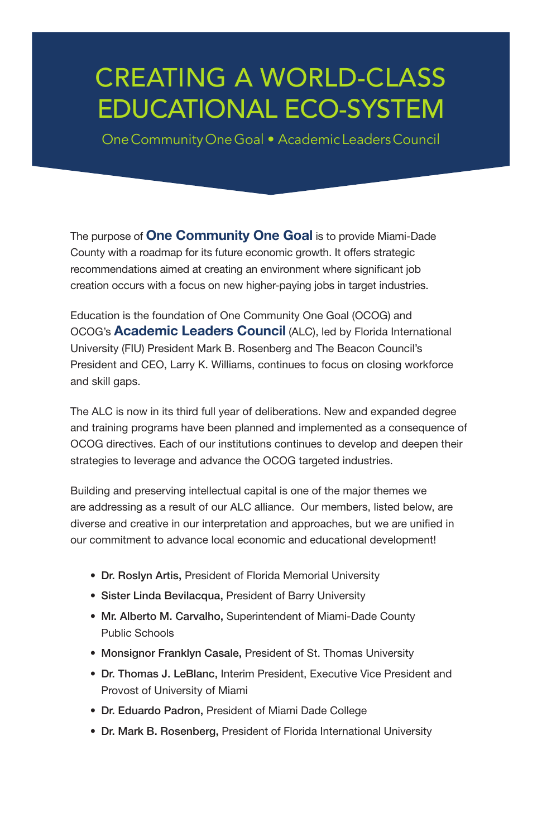# CREATING A WORLD-CLASS EDUCATIONAL ECO-SYSTEM

One Community One Goal • Academic Leaders Council

The purpose of **One Community One Goal** is to provide Miami-Dade County with a roadmap for its future economic growth. It offers strategic recommendations aimed at creating an environment where significant job creation occurs with a focus on new higher-paying jobs in target industries.

Education is the foundation of One Community One Goal (OCOG) and OCOG's Academic Leaders Council (ALC), led by Florida International University (FIU) President Mark B. Rosenberg and The Beacon Council's President and CEO, Larry K. Williams, continues to focus on closing workforce and skill gaps.

The ALC is now in its third full year of deliberations. New and expanded degree and training programs have been planned and implemented as a consequence of OCOG directives. Each of our institutions continues to develop and deepen their strategies to leverage and advance the OCOG targeted industries.

Building and preserving intellectual capital is one of the major themes we are addressing as a result of our ALC alliance. Our members, listed below, are diverse and creative in our interpretation and approaches, but we are unified in our commitment to advance local economic and educational development!

- Dr. Roslyn Artis, President of Florida Memorial University
- Sister Linda Bevilacqua, President of Barry University
- Mr. Alberto M. Carvalho, Superintendent of Miami-Dade County Public Schools
- Monsignor Franklyn Casale, President of St. Thomas University
- Dr. Thomas J. LeBlanc, Interim President, Executive Vice President and Provost of University of Miami
- Dr. Eduardo Padron, President of Miami Dade College
- Dr. Mark B. Rosenberg, President of Florida International University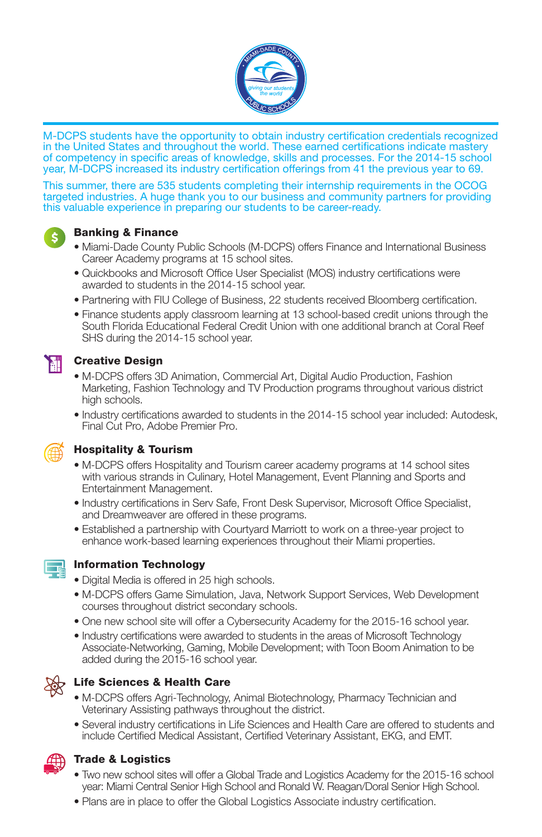

M-DCPS students have the opportunity to obtain industry certification credentials recognized in the United States and throughout the world. These earned certifications indicate mastery of competency in specific areas of knowledge, skills and processes. For the 2014-15 school year, M-DCPS increased its industry certification offerings from 41 the previous year to 69.

This summer, there are 535 students completing their internship requirements in the OCOG targeted industries. A huge thank you to our business and community partners for providing this valuable experience in preparing our students to be career-ready.



#### Banking & Finance

- Miami-Dade County Public Schools (M-DCPS) offers Finance and International Business Career Academy programs at 15 school sites.
- Quickbooks and Microsoft Office User Specialist (MOS) industry certifications were awarded to students in the 2014-15 school year.
- Partnering with FIU College of Business, 22 students received Bloomberg certification.
- Finance students apply classroom learning at 13 school-based credit unions through the South Florida Educational Federal Credit Union with one additional branch at Coral Reef SHS during the 2014-15 school year.



#### Creative Design

- M-DCPS offers 3D Animation, Commercial Art, Digital Audio Production, Fashion Marketing, Fashion Technology and TV Production programs throughout various district high schools.
- Industry certifications awarded to students in the 2014-15 school year included: Autodesk, Final Cut Pro, Adobe Premier Pro.



#### Hospitality & Tourism

- M-DCPS offers Hospitality and Tourism career academy programs at 14 school sites with various strands in Culinary, Hotel Management, Event Planning and Sports and Entertainment Management.
- Industry certifications in Serv Safe, Front Desk Supervisor, Microsoft Office Specialist, and Dreamweaver are offered in these programs.
- Established a partnership with Courtyard Marriott to work on a three-year project to enhance work-based learning experiences throughout their Miami properties.



#### Information Technology

- Digital Media is offered in 25 high schools.
- M-DCPS offers Game Simulation, Java, Network Support Services, Web Development courses throughout district secondary schools.
- One new school site will offer a Cybersecurity Academy for the 2015-16 school year.
- Industry certifications were awarded to students in the areas of Microsoft Technology Associate-Networking, Gaming, Mobile Development; with Toon Boom Animation to be added during the 2015-16 school year.



#### Life Sciences & Health Care

- M-DCPS offers Agri-Technology, Animal Biotechnology, Pharmacy Technician and Veterinary Assisting pathways throughout the district.
- Several industry certifications in Life Sciences and Health Care are offered to students and include Certified Medical Assistant, Certified Veterinary Assistant, EKG, and EMT.



#### Trade & Logistics

- Two new school sites will offer a Global Trade and Logistics Academy for the 2015-16 school year: Miami Central Senior High School and Ronald W. Reagan/Doral Senior High School.
- Plans are in place to offer the Global Logistics Associate industry certification.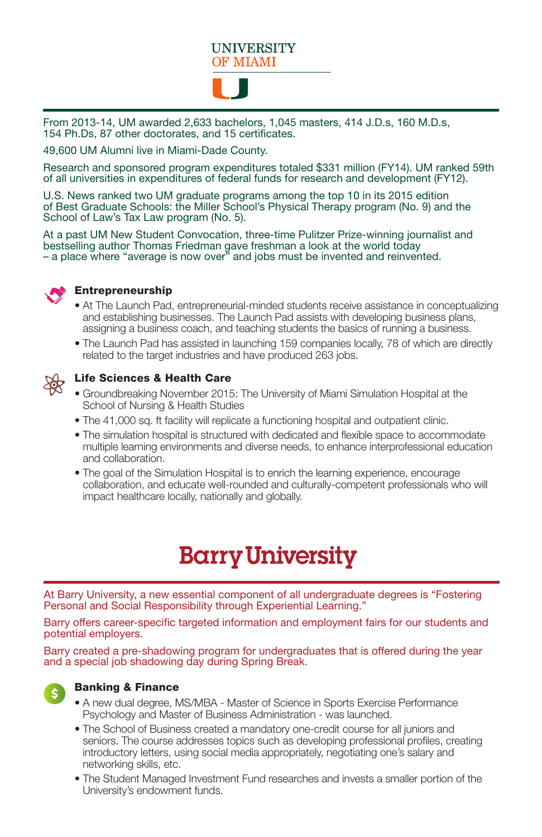

From 2013-14, UM awarded 2,633 bachelors, 1,045 masters, 414 J.D.s, 160 M.D.s, 154 Ph.Ds, 87 other doctorates, and 15 certificates.

49,600 UM Alumni live in Miami-Dade County.

Research and sponsored program expenditures totaled \$331 million (FY14). UM ranked 59th of all universities in expenditures of federal funds for research and development (FY12).

U.S. News ranked two UM graduate programs among the top 10 in its 2015 edition of Best Graduate Schools: the Miller School's Physical Therapy program (No. 9) and the School of Law's Tax Law program (No. 5).

At a past UM New Student Convocation, three-time Pulitzer Prize-winning journalist and bestselling author Thomas Friedman gave freshman a look at the world today – a place where "average is now over" and jobs must be invented and reinvented.



#### **Entrepreneurship**

- At The Launch Pad, entrepreneurial-minded students receive assistance in conceptualizing and establishing businesses. The Launch Pad assists with developing business plans, assigning a business coach, and teaching students the basics of running a business.
- The Launch Pad has assisted in launching 159 companies locally, 78 of which are directly related to the target industries and have produced 263 jobs.



#### Life Sciences & Health Care

- Groundbreaking November 2015: The University of Miami Simulation Hospital at the School of Nursing & Health Studies
- The 41,000 sq. ft facility will replicate a functioning hospital and outpatient clinic.
- The simulation hospital is structured with dedicated and flexible space to accommodate multiple learning environments and diverse needs, to enhance interprofessional education and collaboration.
- The goal of the Simulation Hospital is to enrich the learning experience, encourage collaboration, and educate well-rounded and culturally-competent professionals who will impact healthcare locally, nationally and globally.

## **Barry University**

At Barry University, a new essential component of all undergraduate degrees is "Fostering Personal and Social Responsibility through Experiential Learning."

Barry offers career-specific targeted information and employment fairs for our students and potential employers.

Barry created a pre-shadowing program for undergraduates that is offered during the year and a special job shadowing day during Spring Break.



#### Banking & Finance

- A new dual degree, MS/MBA Master of Science in Sports Exercise Performance Psychology and Master of Business Administration - was launched.
- The School of Business created a mandatory one-credit course for all juniors and seniors. The course addresses topics such as developing professional profiles, creating introductory letters, using social media appropriately, negotiating one's salary and networking skills, etc.
- The Student Managed Investment Fund researches and invests a smaller portion of the University's endowment funds.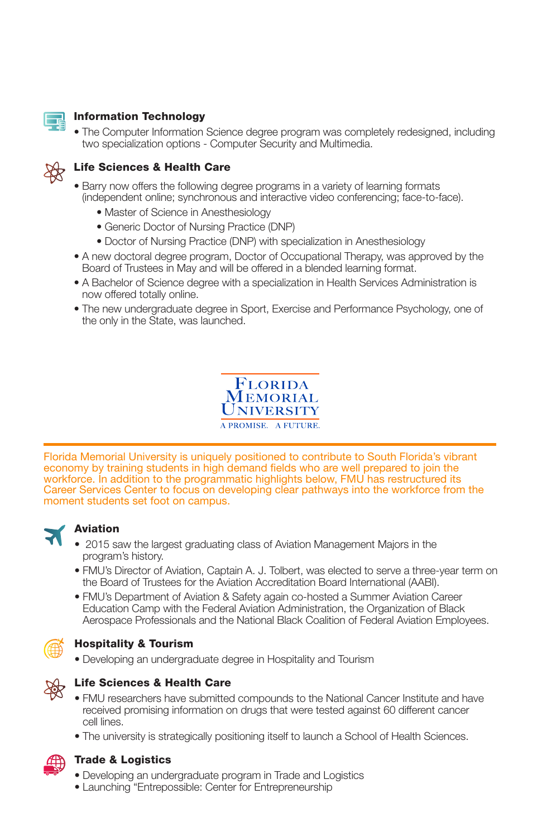

#### Information Technology

• The Computer Information Science degree program was completely redesigned, including two specialization options - Computer Security and Multimedia.



#### Life Sciences & Health Care

- Barry now offers the following degree programs in a variety of learning formats (independent online; synchronous and interactive video conferencing; face-to-face).
	- Master of Science in Anesthesiology
	- Generic Doctor of Nursing Practice (DNP)
	- Doctor of Nursing Practice (DNP) with specialization in Anesthesiology
- A new doctoral degree program, Doctor of Occupational Therapy, was approved by the Board of Trustees in May and will be offered in a blended learning format.
- A Bachelor of Science degree with a specialization in Health Services Administration is now offered totally online.
- The new undergraduate degree in Sport, Exercise and Performance Psychology, one of the only in the State, was launched.



Florida Memorial University is uniquely positioned to contribute to South Florida's vibrant economy by training students in high demand fields who are well prepared to join the workforce. In addition to the programmatic highlights below, FMU has restructured its Career Services Center to focus on developing clear pathways into the workforce from the moment students set foot on campus.



#### Aviation

- 2015 saw the largest graduating class of Aviation Management Majors in the program's history.
- FMU's Director of Aviation, Captain A. J. Tolbert, was elected to serve a three-year term on the Board of Trustees for the Aviation Accreditation Board International (AABI).
- FMU's Department of Aviation & Safety again co-hosted a Summer Aviation Career Education Camp with the Federal Aviation Administration, the Organization of Black Aerospace Professionals and the National Black Coalition of Federal Aviation Employees.



#### Hospitality & Tourism

• Developing an undergraduate degree in Hospitality and Tourism



#### Life Sciences & Health Care

- FMU researchers have submitted compounds to the National Cancer Institute and have received promising information on drugs that were tested against 60 different cancer cell lines.
- The university is strategically positioning itself to launch a School of Health Sciences.



#### Trade & Logistics

- Developing an undergraduate program in Trade and Logistics
- Launching "Entrepossible: Center for Entrepreneurship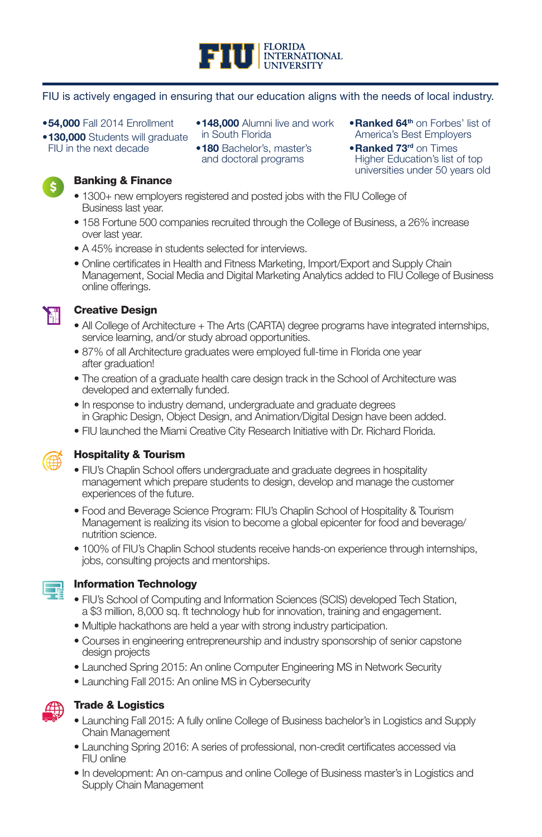

#### FIU is actively engaged in ensuring that our education aligns with the needs of local industry.

#### •**54,000** Fall 2014 Enrollment

•130,000 Students will graduate FIU in the next decade

- •148,000 Alumni live and work in South Florida
- •180 Bachelor's, master's and doctoral programs
- •Ranked 64th on Forbes' list of America's Best Employers
- **•Ranked 73rd on Times** Higher Education's list of top universities under 50 years old

### $\mathsf{\$}$

#### Banking & Finance

- 1300+ new employers registered and posted jobs with the FIU College of Business last year.
- 158 Fortune 500 companies recruited through the College of Business, a 26% increase over last year.
- A 45% increase in students selected for interviews.
- Online certificates in Health and Fitness Marketing, Import/Export and Supply Chain Management, Social Media and Digital Marketing Analytics added to FIU College of Business online offerings.



#### Creative Design

- All College of Architecture + The Arts (CARTA) degree programs have integrated internships, service learning, and/or study abroad opportunities.
- 87% of all Architecture graduates were employed full-time in Florida one year after graduation!
- The creation of a graduate health care design track in the School of Architecture was developed and externally funded.
- In response to industry demand, undergraduate and graduate degrees in Graphic Design, Object Design, and Animation/Digital Design have been added.
- FIU launched the Miami Creative City Research Initiative with Dr. Richard Florida.



#### Hospitality & Tourism

- FIU's Chaplin School offers undergraduate and graduate degrees in hospitality management which prepare students to design, develop and manage the customer experiences of the future.
- Food and Beverage Science Program: FIU's Chaplin School of Hospitality & Tourism Management is realizing its vision to become a global epicenter for food and beverage/ nutrition science.
- 100% of FIU's Chaplin School students receive hands-on experience through internships, jobs, consulting projects and mentorships.



#### Information Technology

- FIU's School of Computing and Information Sciences (SCIS) developed Tech Station, a \$3 million, 8,000 sq. ft technology hub for innovation, training and engagement.
- Multiple hackathons are held a year with strong industry participation.
- Courses in engineering entrepreneurship and industry sponsorship of senior capstone design projects
- Launched Spring 2015: An online Computer Engineering MS in Network Security
- Launching Fall 2015: An online MS in Cybersecurity



#### Trade & Logistics

- Launching Fall 2015: A fully online College of Business bachelor's in Logistics and Supply Chain Management
- Launching Spring 2016: A series of professional, non-credit certificates accessed via FIU online
- In development: An on-campus and online College of Business master's in Logistics and Supply Chain Management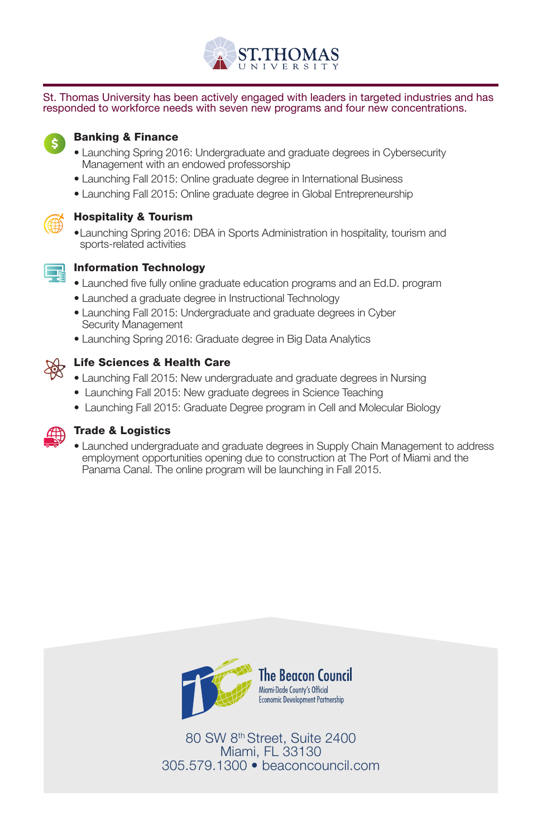

St. Thomas University has been actively engaged with leaders in targeted industries and has responded to workforce needs with seven new programs and four new concentrations.



#### Banking & Finance

- Launching Spring 2016: Undergraduate and graduate degrees in Cybersecurity Management with an endowed professorship
- Launching Fall 2015: Online graduate degree in International Business
- Launching Fall 2015: Online graduate degree in Global Entrepreneurship



#### Hospitality & Tourism

•Launching Spring 2016: DBA in Sports Administration in hospitality, tourism and sports-related activities



#### Information Technology

- Launched five fully online graduate education programs and an Ed.D. program
- Launched a graduate degree in Instructional Technology
- Launching Fall 2015: Undergraduate and graduate degrees in Cyber Security Management
- Launching Spring 2016: Graduate degree in Big Data Analytics



#### Life Sciences & Health Care

- Launching Fall 2015: New undergraduate and graduate degrees in Nursing
- Launching Fall 2015: New graduate degrees in Science Teaching
- Launching Fall 2015: Graduate Degree program in Cell and Molecular Biology



#### Trade & Logistics

• Launched undergraduate and graduate degrees in Supply Chain Management to address employment opportunities opening due to construction at The Port of Miami and the Panama Canal. The online program will be launching in Fall 2015.



80 SW 8th Street, Suite 2400 Miami, FL 33130 305.579.1300 • beaconcouncil.com